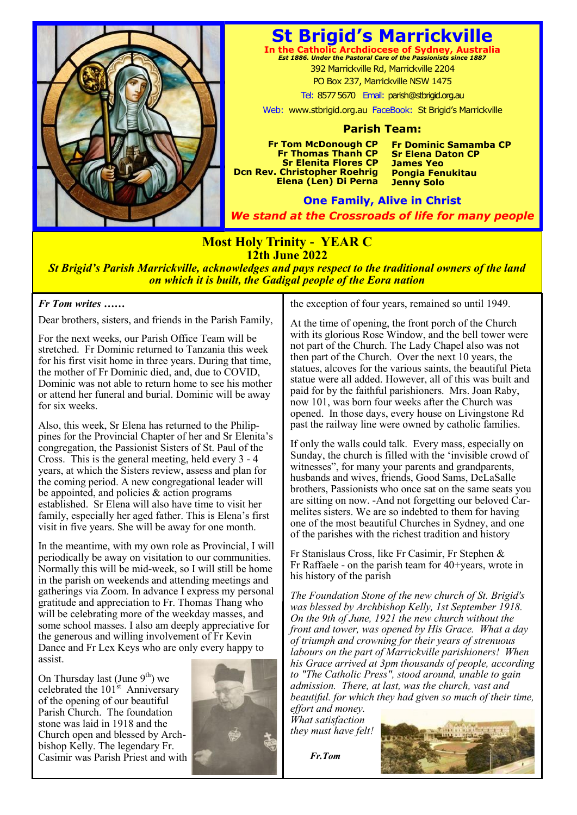

## **St Brigid's Marrickville**

**In the Catholic Archdiocese of Sydney, Australia** *Est 1886. Under the Pastoral Care of the Passionists since 1887* 392 Marrickville Rd, Marrickville 2204 PO Box 237, Marrickville NSW 1475

Tel: 8577 5670 Email: parish@stbrigid.org.au

Web: www.stbrigid.org.au FaceBook: St Brigid's Marrickville

#### **Parish Team:**

**Fr Tom McDonough CP Fr Thomas Thanh CP Sr Elenita Flores CP Dcn Rev. Christopher Roehrig Elena (Len) Di Perna**  **Fr Dominic Samamba CP Sr Elena Daton CP James Yeo Pongia Fenukitau Jenny Solo**

**One Family, Alive in Christ** *We stand at the Crossroads of life for many people*

### **Most Holy Trinity - YEAR C 12th June 2022**

*St Brigid's Parish Marrickville, acknowledges and pays respect to the traditional owners of the land on which it is built, the Gadigal people of the Eora nation*

#### *Fr Tom writes ……*

Dear brothers, sisters, and friends in the Parish Family,

For the next weeks, our Parish Office Team will be stretched. Fr Dominic returned to Tanzania this week for his first visit home in three years. During that time, the mother of Fr Dominic died, and, due to COVID, Dominic was not able to return home to see his mother or attend her funeral and burial. Dominic will be away for six weeks.

Also, this week, Sr Elena has returned to the Philippines for the Provincial Chapter of her and Sr Elenita's congregation, the Passionist Sisters of St. Paul of the Cross. This is the general meeting, held every 3 - 4 years, at which the Sisters review, assess and plan for the coming period. A new congregational leader will be appointed, and policies & action programs established. Sr Elena will also have time to visit her family, especially her aged father. This is Elena's first visit in five years. She will be away for one month.

In the meantime, with my own role as Provincial, I will periodically be away on visitation to our communities. Normally this will be mid-week, so I will still be home in the parish on weekends and attending meetings and gatherings via Zoom. In advance I express my personal gratitude and appreciation to Fr. Thomas Thang who will be celebrating more of the weekday masses, and some school masses. I also am deeply appreciative for the generous and willing involvement of Fr Kevin Dance and Fr Lex Keys who are only every happy to assist.

On Thursday last (June  $9<sup>th</sup>$ ) we celebrated the  $101<sup>st</sup>$  Anniversary of the opening of our beautiful Parish Church. The foundation stone was laid in 1918 and the Church open and blessed by Archbishop Kelly. The legendary Fr. Casimir was Parish Priest and with



the exception of four years, remained so until 1949.

At the time of opening, the front porch of the Church with its glorious Rose Window, and the bell tower were not part of the Church. The Lady Chapel also was not then part of the Church. Over the next 10 years, the statues, alcoves for the various saints, the beautiful Pieta statue were all added. However, all of this was built and paid for by the faithful parishioners. Mrs. Joan Raby, now 101, was born four weeks after the Church was opened. In those days, every house on Livingstone Rd past the railway line were owned by catholic families.

If only the walls could talk. Every mass, especially on Sunday, the church is filled with the 'invisible crowd of witnesses", for many your parents and grandparents, husbands and wives, friends, Good Sams, DeLaSalle brothers, Passionists who once sat on the same seats you are sitting on now. -And not forgetting our beloved Carmelites sisters. We are so indebted to them for having one of the most beautiful Churches in Sydney, and one of the parishes with the richest tradition and history

Fr Stanislaus Cross, like Fr Casimir, Fr Stephen & Fr Raffaele - on the parish team for 40+years, wrote in his history of the parish

*The Foundation Stone of the new church of St. Brigid's was blessed by Archbishop Kelly, 1st September 1918. On the 9th of June, 1921 the new church without the front and tower, was opened by His Grace. What a day of triumph and crowning for their years of strenuous labours on the part of Marrickville parishioners! When his Grace arrived at 3pm thousands of people, according to "The Catholic Press", stood around, unable to gain admission. There, at last, was the church, vast and beautiful. for which they had given so much of their time, effort and money.*

*What satisfaction they must have felt!*

 *Fr.Tom*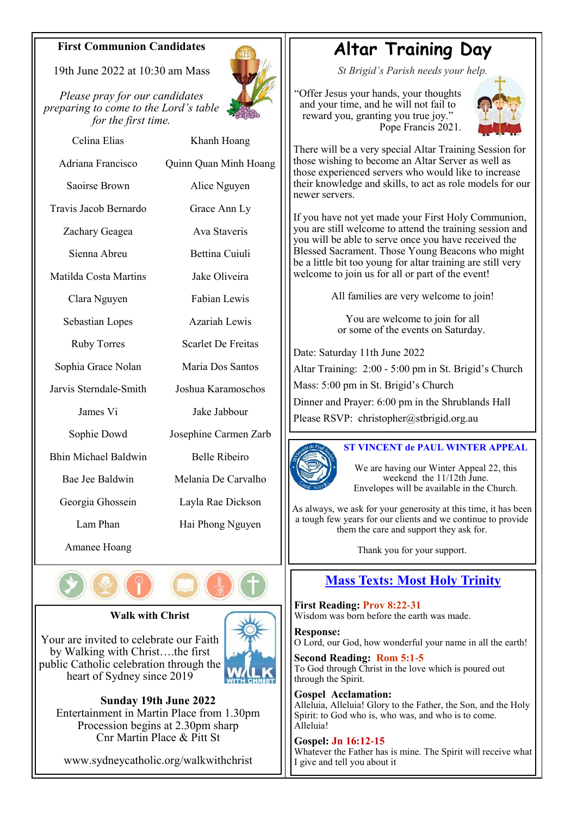### **First Communion Candidates**

19th June 2022 at  $10.30$  am Mass

*Please pray for our candidates preparing to come to the Lord's table for the first time.*



Celina Elias Adriana Francisco Saoirse Brown Travis Jacob Bernardo Zachary Geagea Sienna Abreu Matilda Costa Martins Clara Nguyen Sebastian Lopes Ruby Torres Sophia Grace Nolan Jarvis Sterndale-Smith James Vi Sophie Dowd Bhin Michael Baldwin Bae Jee Baldwin Georgia Ghossein Khanh Hoang Quinn Quan Minh Hoang Alice Nguyen Grace Ann Ly Ava Staveris Bettina Cuiuli Jake Oliveira Fabian Lewis Azariah Lewis Scarlet De Freitas Maria Dos Santos Joshua Karamoschos Jake Jabbour Josephine Carmen Zarb Belle Ribeiro Melania De Carvalho Layla Rae Dickson

Lam Phan

Amanee Hoang



### **Walk with Christ**

Your are invited to celebrate our Faith by Walking with Christ….the first public Catholic celebration through the heart of Sydney since 2019



Hai Phong Nguyen

**Sunday 19th June 2022** Entertainment in Martin Place from 1.30pm Procession begins at 2.30pm sharp Cnr Martin Place & Pitt St

www.sydneycatholic.org/walkwithchrist

# **Altar Training Day**

*St Brigid's Parish needs your help.*

"Offer Jesus your hands, your thoughts and your time, and he will not fail to reward you, granting you true joy." Pope Francis 2021.



There will be a very special Altar Training Session for those wishing to become an Altar Server as well as those experienced servers who would like to increase their knowledge and skills, to act as role models for our newer servers.

If you have not yet made your First Holy Communion, you are still welcome to attend the training session and you will be able to serve once you have received the Blessed Sacrament. Those Young Beacons who might be a little bit too young for altar training are still very welcome to join us for all or part of the event!

All families are very welcome to join!

You are welcome to join for all or some of the events on Saturday.

Date: Saturday 11th June 2022 Altar Training: 2:00 - 5:00 pm in St. Brigid's Church Mass: 5:00 pm in St. Brigid's Church Dinner and Prayer: 6:00 pm in the Shrublands Hall Please RSVP: christopher@stbrigid.org.au



### **ST VINCENT de PAUL WINTER APPEAL**

We are having our Winter Appeal 22, this weekend the 11/12th June. Envelopes will be available in the Church.

As always, we ask for your generosity at this time, it has been a tough few years for our clients and we continue to provide them the care and support they ask for.

Thank you for your support.

### **Mass Texts: Most Holy Trinity**

**First Reading: Prov 8:22-31**  Wisdom was born before the earth was made.

**Response:**  O Lord, our God, how wonderful your name in all the earth! **Second Reading: Rom 5:1-5**

To God through Christ in the love which is poured out through the Spirit.

**Gospel Acclamation:**  Alleluia, Alleluia! Glory to the Father, the Son, and the Holy Spirit: to God who is, who was, and who is to come. Alleluia!

**Gospel: Jn 16:12-15** Whatever the Father has is mine. The Spirit will receive what I give and tell you about it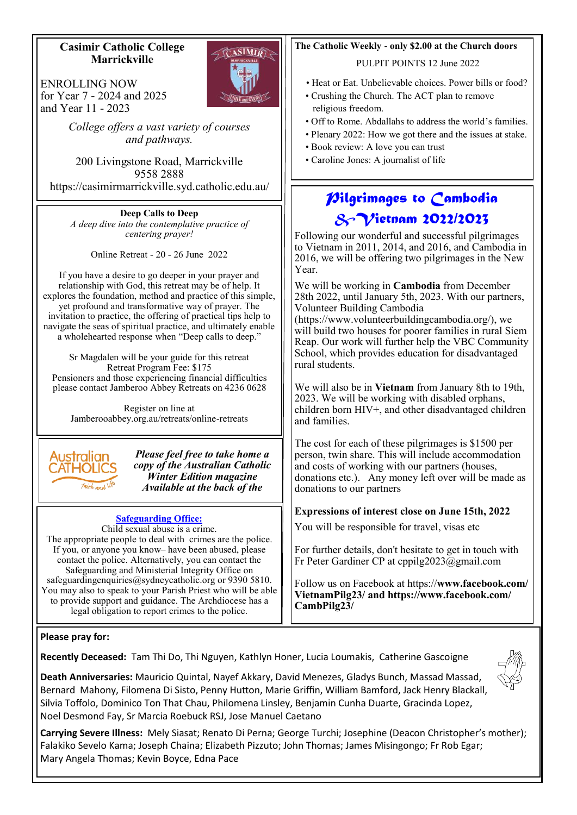### **Casimir Catholic College Marrickville**

ENROLLING NOW for Year 7 - 2024 and 2025 and Year 11 - 2023

I

*College offers a vast variety of courses and pathways.*

200 Livingstone Road, Marrickville 9558 2888 https://casimirmarrickville.syd.catholic.edu.au/

**Deep Calls to Deep** *A deep dive into the contemplative practice of centering prayer!*

Online Retreat - 20 - 26 June 2022

If you have a desire to go deeper in your prayer and relationship with God, this retreat may be of help. It explores the foundation, method and practice of this simple, yet profound and transformative way of prayer. The invitation to practice, the offering of practical tips help to navigate the seas of spiritual practice, and ultimately enable a wholehearted response when "Deep calls to deep."

Sr Magdalen will be your guide for this retreat Retreat Program Fee: \$175 Pensioners and those experiencing financial difficulties please contact Jamberoo Abbey Retreats on 4236 0628

Register on line at Jamberooabbey.org.au/retreats/online-retreats



*Please feel free to take home a copy of the Australian Catholic Winter Edition magazine Available at the back of the* 

### **Safeguarding Office:**

Child sexual abuse is a crime. The appropriate people to deal with crimes are the police. If you, or anyone you know– have been abused, please contact the police. Alternatively, you can contact the Safeguarding and Ministerial Integrity Office on safeguardingenquiries@sydneycatholic.org or 9390 5810. You may also to speak to your Parish Priest who will be able to provide support and guidance. The Archdiocese has a legal obligation to report crimes to the police.

### **The Catholic Weekly - only \$2.00 at the Church doors**

PULPIT POINTS 12 June 2022

- Heat or Eat. Unbelievable choices. Power bills or food?
- Crushing the Church. The ACT plan to remove religious freedom.
- Off to Rome. Abdallahs to address the world's families.
- Plenary 2022: How we got there and the issues at stake.
- Book review: A love you can trust
- Caroline Jones: A journalist of life

### *Pilgrimages to Cambodia &Vietnam 2022/2023*

Following our wonderful and successful pilgrimages to Vietnam in 2011, 2014, and 2016, and Cambodia in 2016, we will be offering two pilgrimages in the New Year.

We will be working in **Cambodia** from December 28th 2022, until January 5th, 2023. With our partners, Volunteer Building Cambodia

(https://www.volunteerbuildingcambodia.org/), we will build two houses for poorer families in rural Siem Reap. Our work will further help the VBC Community School, which provides education for disadvantaged rural students.

We will also be in **Vietnam** from January 8th to 19th, 2023. We will be working with disabled orphans, children born HIV+, and other disadvantaged children and families.

The cost for each of these pilgrimages is \$1500 per person, twin share. This will include accommodation and costs of working with our partners (houses, donations etc.). Any money left over will be made as donations to our partners

### **Expressions of interest close on June 15th, 2022**

You will be responsible for travel, visas etc

For further details, don't hesitate to get in touch with Fr Peter Gardiner CP at cppilg2023@gmail.com

Follow us on Facebook at https://**www.facebook.com/ VietnamPilg23/ and https://www.facebook.com/ CambPilg23/** 

### **Please pray for:**

**Recently Deceased:** Tam Thi Do, Thi Nguyen, Kathlyn Honer, Lucia Loumakis, Catherine Gascoigne



**Death Anniversaries:** Mauricio Quintal, Nayef Akkary, David Menezes, Gladys Bunch, Massad Massad, Bernard Mahony, Filomena Di Sisto, Penny Hutton, Marie Griffin, William Bamford, Jack Henry Blackall, Silvia Toffolo, Dominico Ton That Chau, Philomena Linsley, Benjamin Cunha Duarte, Gracinda Lopez, Noel Desmond Fay, Sr Marcia Roebuck RSJ, Jose Manuel Caetano

**Carrying Severe Illness:** Mely Siasat; Renato Di Perna; George Turchi; Josephine (Deacon Christopher's mother); Falakiko Sevelo Kama; Joseph Chaina; Elizabeth Pizzuto; John Thomas; James Misingongo; Fr Rob Egar; Mary Angela Thomas; Kevin Boyce, Edna Pace